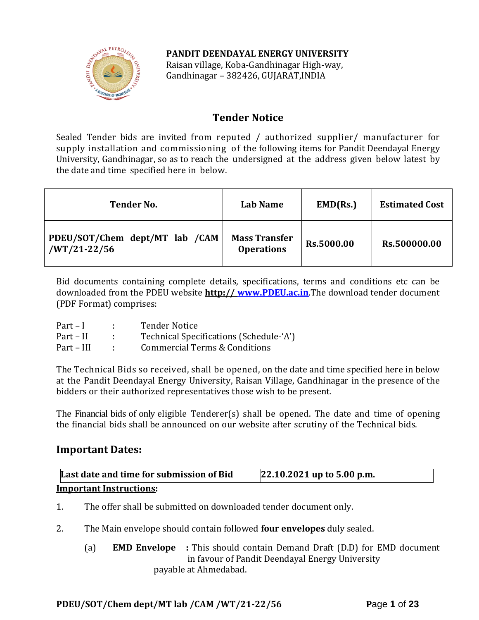### **PANDIT DEENDAYAL ENERGY UNIVERSITY**



Raisan village, Koba-Gandhinagar High-way, Gandhinagar – 382426, GUJARAT,INDIA

# **Tender Notice**

Sealed Tender bids are invited from reputed / authorized supplier/ manufacturer for supply installation and commissioning of the following items for Pandit Deendayal Energy University, Gandhinagar, so as to reach the undersigned at the address given below latest by the date and time specified here in below.

| <b>Tender No.</b>                                | Lab Name                                  | EMD(Rs.)   | <b>Estimated Cost</b> |
|--------------------------------------------------|-------------------------------------------|------------|-----------------------|
| PDEU/SOT/Chem dept/MT lab /CAM<br>$/WT/21-22/56$ | <b>Mass Transfer</b><br><b>Operations</b> | Rs.5000.00 | Rs.500000.00          |

Bid documents containing complete details, specifications, terms and conditions etc can be downloaded from the PDEU website **http:// [www.PDEU.ac.in](http://www.pdpu.ac.in/)**.The download tender document (PDF Format) comprises:

| $Part-I$   | <b>Tender Notice</b>                     |
|------------|------------------------------------------|
| Part – II  | Technical Specifications (Schedule-'A')  |
| Part – III | <b>Commercial Terms &amp; Conditions</b> |

The Technical Bids so received, shall be opened, on the date and time specified here in below at the Pandit Deendayal Energy University, Raisan Village, Gandhinagar in the presence of the bidders or their authorized representatives those wish to be present.

The Financial bids of only eligible Tenderer(s) shall be opened. The date and time of opening the financial bids shall be announced on our website after scrutiny of the Technical bids.

## **Important Dates:**

| Last date and time for submission of Bid | 22.10.2021 up to 5.00 p.m. |
|------------------------------------------|----------------------------|
| <b>Important Instructions:</b>           |                            |

- 1. The offer shall be submitted on downloaded tender document only.
- 2. The Main envelope should contain followed **four envelopes** duly sealed.
	- (a) **EMD Envelope :** This should contain Demand Draft (D.D) for EMD document in favour of Pandit Deendayal Energy University payable at Ahmedabad.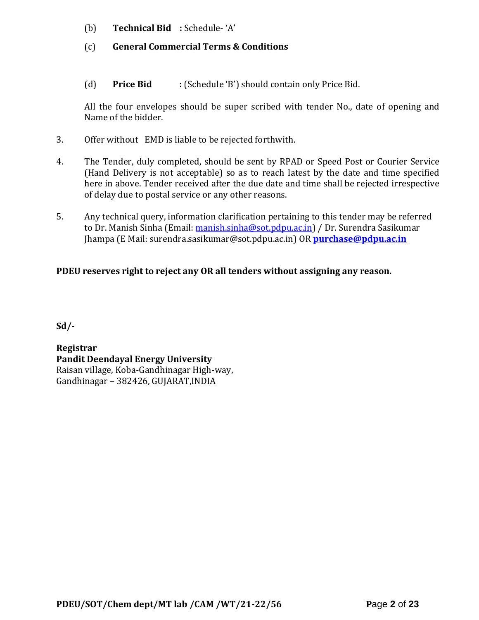- (b) **Technical Bid :** Schedule- 'A'
- (c) **General Commercial Terms & Conditions**
- (d) **Price Bid :** (Schedule 'B') should contain only Price Bid.

All the four envelopes should be super scribed with tender No., date of opening and Name of the bidder.

- 3. Offer without EMD is liable to be rejected forthwith.
- 4. The Tender, duly completed, should be sent by RPAD or Speed Post or Courier Service (Hand Delivery is not acceptable) so as to reach latest by the date and time specified here in above. Tender received after the due date and time shall be rejected irrespective of delay due to postal service or any other reasons.
- 5. Any technical query, information clarification pertaining to this tender may be referred to Dr. Manish Sinha (Email: [manish.sinha@sot.pdpu.ac.in\)](mailto:manish.sinha@sot.pdpu.ac.in) / Dr. Surendra Sasikumar Jhampa (E Mail: surendra.sasikumar@sot.pdpu.ac.in) OR **[purchase@pdpu.ac.in](mailto:purchase@pdpu.ac.in)**

### **PDEU reserves right to reject any OR all tenders without assigning any reason.**

**Sd/-**

**Registrar Pandit Deendayal Energy University** Raisan village, Koba-Gandhinagar High-way, Gandhinagar – 382426, GUJARAT,INDIA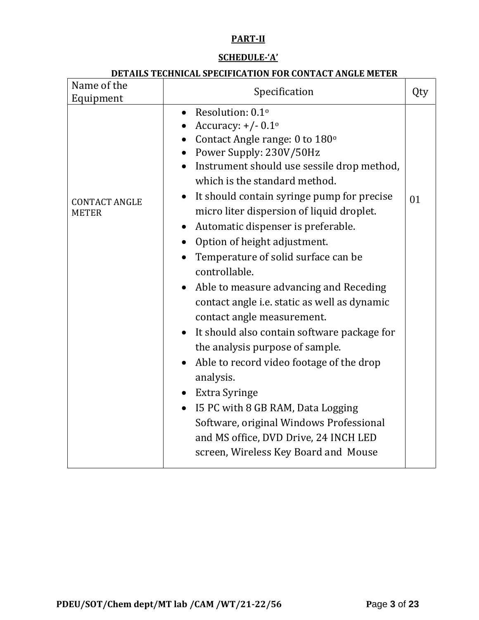# **PART-II**

### **SCHEDULE-'A'**

### **DETAILS TECHNICAL SPECIFICATION FOR CONTACT ANGLE METER**

| Name of the<br>Equipment             | Specification                                                                                                                                                                                                                                                                                                                                                                                                                                                                                                                                                                                                                                                                                                                                                                                                                                                                                                                                  | Qty |
|--------------------------------------|------------------------------------------------------------------------------------------------------------------------------------------------------------------------------------------------------------------------------------------------------------------------------------------------------------------------------------------------------------------------------------------------------------------------------------------------------------------------------------------------------------------------------------------------------------------------------------------------------------------------------------------------------------------------------------------------------------------------------------------------------------------------------------------------------------------------------------------------------------------------------------------------------------------------------------------------|-----|
| <b>CONTACT ANGLE</b><br><b>METER</b> | Resolution: 0.1 <sup>o</sup><br>$\bullet$<br>Accuracy: $+/- 0.1^{\circ}$<br>• Contact Angle range: $0$ to $180^\circ$<br>Power Supply: 230V/50Hz<br>Instrument should use sessile drop method,<br>which is the standard method.<br>It should contain syringe pump for precise<br>$\bullet$<br>micro liter dispersion of liquid droplet.<br>Automatic dispenser is preferable.<br>$\bullet$<br>Option of height adjustment.<br>Temperature of solid surface can be<br>controllable.<br>Able to measure advancing and Receding<br>contact angle <i>i.e.</i> static as well as dynamic<br>contact angle measurement.<br>It should also contain software package for<br>the analysis purpose of sample.<br>Able to record video footage of the drop<br>analysis.<br>Extra Syringe<br>I5 PC with 8 GB RAM, Data Logging<br>Software, original Windows Professional<br>and MS office, DVD Drive, 24 INCH LED<br>screen, Wireless Key Board and Mouse | 01  |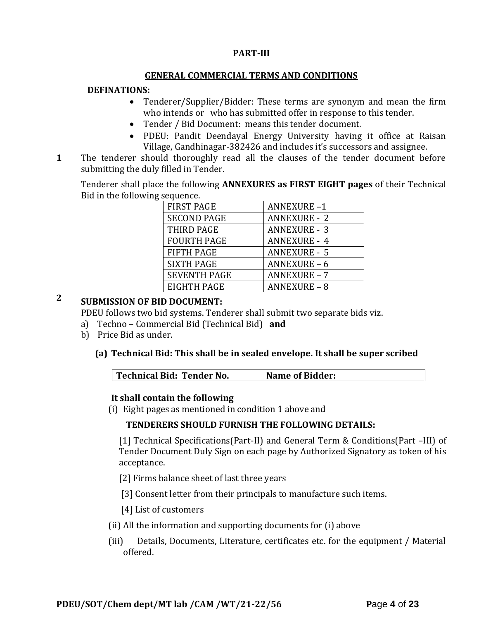### **PART-III**

### **GENERAL COMMERCIAL TERMS AND CONDITIONS**

### **DEFINATIONS:**

- Tenderer/Supplier/Bidder: These terms are synonym and mean the firm who intends or who has submitted offer in response to this tender.
- Tender / Bid Document: means this tender document.
- PDEU: Pandit Deendayal Energy University having it office at Raisan Village, Gandhinagar-382426 and includes it's successors and assignee.
- **1**1. The tenderer should thoroughly read all the clauses of the tender document before submitting the duly filled in Tender.

Tenderer shall place the following **ANNEXURES as FIRST EIGHT pages** of their Technical Bid in the following sequence.

| <b>FIRST PAGE</b>   | <b>ANNEXURE-1</b>   |
|---------------------|---------------------|
| <b>SECOND PAGE</b>  | <b>ANNEXURE - 2</b> |
| THIRD PAGE          | <b>ANNEXURE - 3</b> |
| <b>FOURTH PAGE</b>  | <b>ANNEXURE - 4</b> |
| <b>FIFTH PAGE</b>   | <b>ANNEXURE - 5</b> |
| <b>SIXTH PAGE</b>   | <b>ANNEXURE - 6</b> |
| <b>SEVENTH PAGE</b> | <b>ANNEXURE - 7</b> |
| EIGHTH PAGE         | <b>ANNEXURE - 8</b> |

# **2 SUBMISSION OF BID DOCUMENT:**

PDEU follows two bid systems. Tenderer shall submit two separate bids viz.

- a) Techno Commercial Bid (Technical Bid) **and**
- b) Price Bid as under.

### **(a) Technical Bid: This shall be in sealed envelope. It shall be super scribed**

| Technical Bid: Tender No. | Name of Bidder: |
|---------------------------|-----------------|
|---------------------------|-----------------|

### **It shall contain the following**

(i) Eight pages as mentioned in condition 1 above and

## **TENDERERS SHOULD FURNISH THE FOLLOWING DETAILS:**

[1] Technical Specifications(Part-II) and General Term & Conditions(Part –III) of Tender Document Duly Sign on each page by Authorized Signatory as token of his acceptance.

- [2] Firms balance sheet of last three years
- [3] Consent letter from their principals to manufacture such items.
- [4] List of customers
- (ii) All the information and supporting documents for (i) above
- (iii) Details, Documents, Literature, certificates etc. for the equipment / Material offered.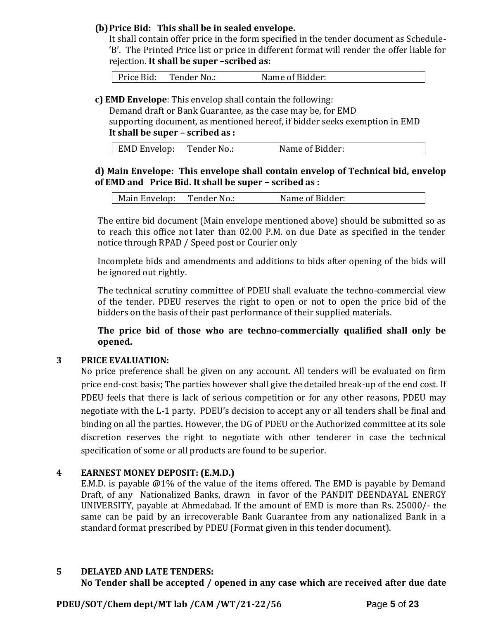### **(b)Price Bid: This shall be in sealed envelope.**

It shall contain offer price in the form specified in the tender document as Schedule- 'B'. The Printed Price list or price in different format will render the offer liable for rejection. **It shall be super –scribed as:**

Price Bid: Tender No.: Name of Bidder:

**c) EMD Envelope**: This envelop shall contain the following:

Demand draft or Bank Guarantee, as the case may be, for EMD supporting document, as mentioned hereof, if bidder seeks exemption in EMD **It shall be super – scribed as :**

| <b>EMD Envelop:</b> | Tender No.: | Name of Bidder: |
|---------------------|-------------|-----------------|
|                     |             |                 |

### **d) Main Envelope: This envelope shall contain envelop of Technical bid, envelop of EMD and Price Bid. It shall be super – scribed as :**

|  | Main Envelop: | Tender No.: | Name of Bidder: |
|--|---------------|-------------|-----------------|
|--|---------------|-------------|-----------------|

The entire bid document (Main envelope mentioned above) should be submitted so as to reach this office not later than 02.00 P.M. on due Date as specified in the tender notice through RPAD / Speed post or Courier only

Incomplete bids and amendments and additions to bids after opening of the bids will be ignored out rightly.

The technical scrutiny committee of PDEU shall evaluate the techno-commercial view of the tender. PDEU reserves the right to open or not to open the price bid of the bidders on the basis of their past performance of their supplied materials.

**The price bid of those who are techno-commercially qualified shall only be opened.** 

### **3 PRICE EVALUATION:**

No price preference shall be given on any account. All tenders will be evaluated on firm price end-cost basis; The parties however shall give the detailed break-up of the end cost. If PDEU feels that there is lack of serious competition or for any other reasons, PDEU may negotiate with the L-1 party. PDEU's decision to accept any or all tenders shall be final and binding on all the parties. However, the DG of PDEU or the Authorized committee at its sole discretion reserves the right to negotiate with other tenderer in case the technical specification of some or all products are found to be superior.

#### **4 EARNEST MONEY DEPOSIT: (E.M.D.)**

E.M.D. is payable @1% of the value of the items offered. The EMD is payable by Demand Draft, of any Nationalized Banks, drawn in favor of the PANDIT DEENDAYAL ENERGY UNIVERSITY, payable at Ahmedabad. If the amount of EMD is more than Rs. 25000/- the same can be paid by an irrecoverable Bank Guarantee from any nationalized Bank in a standard format prescribed by PDEU (Format given in this tender document).

### **5 DELAYED AND LATE TENDERS:**

**No Tender shall be accepted / opened in any case which are received after due date** 

**PDEU/SOT/Chem dept/MT lab /CAM /WT/21-22/56 P**age **5** of **23**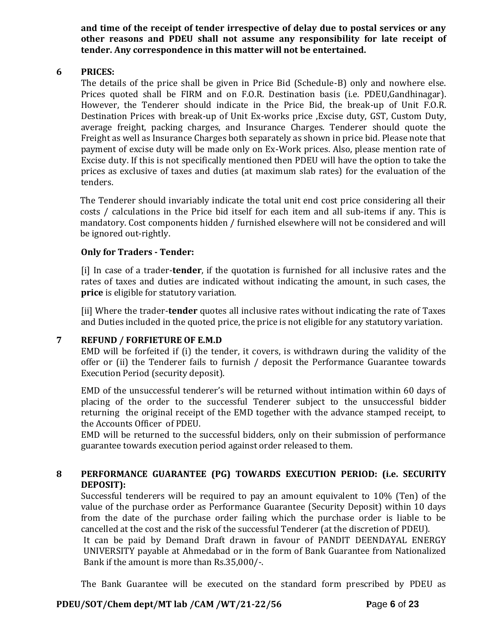**and time of the receipt of tender irrespective of delay due to postal services or any other reasons and PDEU shall not assume any responsibility for late receipt of tender. Any correspondence in this matter will not be entertained.**

#### **6 PRICES:**

The details of the price shall be given in Price Bid (Schedule-B) only and nowhere else. Prices quoted shall be FIRM and on F.O.R. Destination basis (i.e. PDEU,Gandhinagar). However, the Tenderer should indicate in the Price Bid, the break-up of Unit F.O.R. Destination Prices with break-up of Unit Ex-works price ,Excise duty, GST, Custom Duty, average freight, packing charges, and Insurance Charges. Tenderer should quote the Freight as well as Insurance Charges both separately as shown in price bid. Please note that payment of excise duty will be made only on Ex-Work prices. Also, please mention rate of Excise duty. If this is not specifically mentioned then PDEU will have the option to take the prices as exclusive of taxes and duties (at maximum slab rates) for the evaluation of the tenders.

The Tenderer should invariably indicate the total unit end cost price considering all their costs / calculations in the Price bid itself for each item and all sub-items if any. This is mandatory. Cost components hidden / furnished elsewhere will not be considered and will be ignored out-rightly.

#### **Only for Traders - Tender:**

[i] In case of a trader-**tender**, if the quotation is furnished for all inclusive rates and the rates of taxes and duties are indicated without indicating the amount, in such cases, the **price** is eligible for statutory variation.

[ii] Where the trader-**tender** quotes all inclusive rates without indicating the rate of Taxes and Duties included in the quoted price, the price is not eligible for any statutory variation.

#### **7 REFUND / FORFIETURE OF E.M.D**

EMD will be forfeited if (i) the tender, it covers, is withdrawn during the validity of the offer or (ii) the Tenderer fails to furnish / deposit the Performance Guarantee towards Execution Period (security deposit).

EMD of the unsuccessful tenderer's will be returned without intimation within 60 days of placing of the order to the successful Tenderer subject to the unsuccessful bidder returning the original receipt of the EMD together with the advance stamped receipt, to the Accounts Officer of PDEU.

EMD will be returned to the successful bidders, only on their submission of performance guarantee towards execution period against order released to them.

### **8 PERFORMANCE GUARANTEE (PG) TOWARDS EXECUTION PERIOD: (i.e. SECURITY DEPOSIT):**

Successful tenderers will be required to pay an amount equivalent to 10% (Ten) of the value of the purchase order as Performance Guarantee (Security Deposit) within 10 days from the date of the purchase order failing which the purchase order is liable to be cancelled at the cost and the risk of the successful Tenderer (at the discretion of PDEU).

It can be paid by Demand Draft drawn in favour of PANDIT DEENDAYAL ENERGY UNIVERSITY payable at Ahmedabad or in the form of Bank Guarantee from Nationalized Bank if the amount is more than Rs.35,000/-.

The Bank Guarantee will be executed on the standard form prescribed by PDEU as

### **PDEU/SOT/Chem dept/MT lab /CAM /WT/21-22/56 P**age **6** of **23**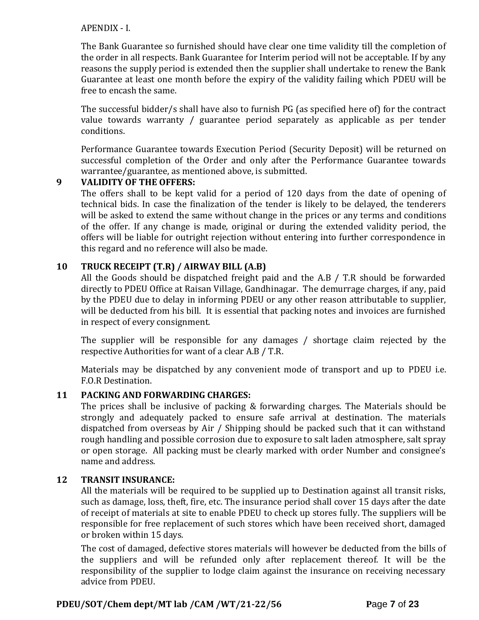#### APENDIX - I.

The Bank Guarantee so furnished should have clear one time validity till the completion of the order in all respects. Bank Guarantee for Interim period will not be acceptable. If by any reasons the supply period is extended then the supplier shall undertake to renew the Bank Guarantee at least one month before the expiry of the validity failing which PDEU will be free to encash the same.

The successful bidder/s shall have also to furnish PG (as specified here of) for the contract value towards warranty / guarantee period separately as applicable as per tender conditions.

Performance Guarantee towards Execution Period (Security Deposit) will be returned on successful completion of the Order and only after the Performance Guarantee towards warrantee/guarantee, as mentioned above, is submitted.

### **9 VALIDITY OF THE OFFERS:**

The offers shall to be kept valid for a period of 120 days from the date of opening of technical bids. In case the finalization of the tender is likely to be delayed, the tenderers will be asked to extend the same without change in the prices or any terms and conditions of the offer. If any change is made, original or during the extended validity period, the offers will be liable for outright rejection without entering into further correspondence in this regard and no reference will also be made.

### **10 TRUCK RECEIPT (T.R) / AIRWAY BILL (A.B)**

All the Goods should be dispatched freight paid and the A.B / T.R should be forwarded directly to PDEU Office at Raisan Village, Gandhinagar. The demurrage charges, if any, paid by the PDEU due to delay in informing PDEU or any other reason attributable to supplier, will be deducted from his bill. It is essential that packing notes and invoices are furnished in respect of every consignment.

The supplier will be responsible for any damages / shortage claim rejected by the respective Authorities for want of a clear A.B / T.R.

Materials may be dispatched by any convenient mode of transport and up to PDEU i.e. F.O.R Destination.

#### **11 PACKING AND FORWARDING CHARGES:**

The prices shall be inclusive of packing & forwarding charges. The Materials should be strongly and adequately packed to ensure safe arrival at destination. The materials dispatched from overseas by Air / Shipping should be packed such that it can withstand rough handling and possible corrosion due to exposure to salt laden atmosphere, salt spray or open storage. All packing must be clearly marked with order Number and consignee's name and address.

#### **12 TRANSIT INSURANCE:**

All the materials will be required to be supplied up to Destination against all transit risks, such as damage, loss, theft, fire, etc. The insurance period shall cover 15 days after the date of receipt of materials at site to enable PDEU to check up stores fully. The suppliers will be responsible for free replacement of such stores which have been received short, damaged or broken within 15 days.

The cost of damaged, defective stores materials will however be deducted from the bills of the suppliers and will be refunded only after replacement thereof. It will be the responsibility of the supplier to lodge claim against the insurance on receiving necessary advice from PDEU.

#### **PDEU/SOT/Chem dept/MT lab /CAM /WT/21-22/56 P**age **7** of **23**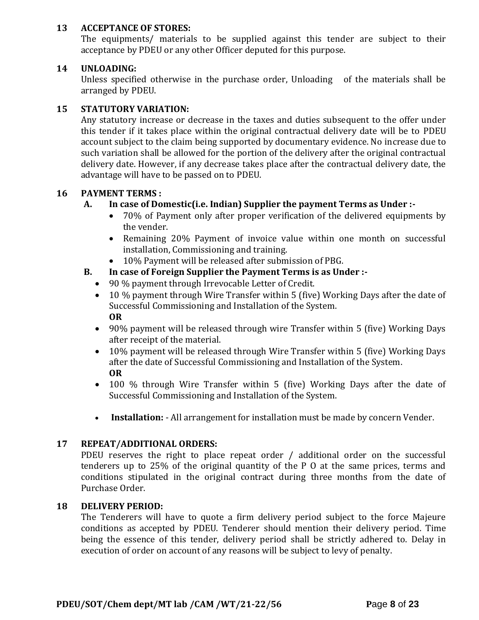### **13 ACCEPTANCE OF STORES:**

The equipments/ materials to be supplied against this tender are subject to their acceptance by PDEU or any other Officer deputed for this purpose.

### **14 UNLOADING:**

Unless specified otherwise in the purchase order, Unloading of the materials shall be arranged by PDEU.

### **15 STATUTORY VARIATION:**

Any statutory increase or decrease in the taxes and duties subsequent to the offer under this tender if it takes place within the original contractual delivery date will be to PDEU account subject to the claim being supported by documentary evidence. No increase due to such variation shall be allowed for the portion of the delivery after the original contractual delivery date. However, if any decrease takes place after the contractual delivery date, the advantage will have to be passed on to PDEU.

### **16 PAYMENT TERMS :**

### **A. In case of Domestic(i.e. Indian) Supplier the payment Terms as Under :-**

- 70% of Payment only after proper verification of the delivered equipments by the vender.
- Remaining 20% Payment of invoice value within one month on successful installation, Commissioning and training.
- 10% Payment will be released after submission of PBG.

### **B. In case of Foreign Supplier the Payment Terms is as Under :-**

- 90 % payment through Irrevocable Letter of Credit.
- 10 % payment through Wire Transfer within 5 (five) Working Days after the date of Successful Commissioning and Installation of the System. **OR**
- 90% payment will be released through wire Transfer within 5 (five) Working Days after receipt of the material.
- 10% payment will be released through Wire Transfer within 5 (five) Working Days after the date of Successful Commissioning and Installation of the System. **OR**
- 100 % through Wire Transfer within 5 (five) Working Days after the date of Successful Commissioning and Installation of the System.
- **Installation:** All arrangement for installation must be made by concern Vender.

### **17 REPEAT/ADDITIONAL ORDERS:**

PDEU reserves the right to place repeat order / additional order on the successful tenderers up to 25% of the original quantity of the P O at the same prices, terms and conditions stipulated in the original contract during three months from the date of Purchase Order.

#### **18 DELIVERY PERIOD:**

The Tenderers will have to quote a firm delivery period subject to the force Majeure conditions as accepted by PDEU. Tenderer should mention their delivery period. Time being the essence of this tender, delivery period shall be strictly adhered to. Delay in execution of order on account of any reasons will be subject to levy of penalty.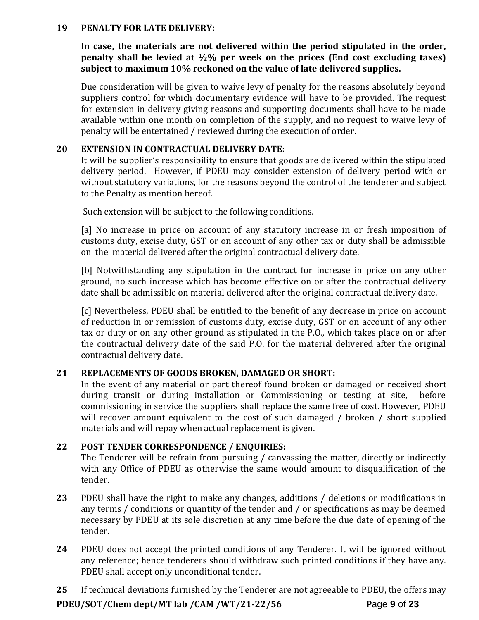#### **19 PENALTY FOR LATE DELIVERY:**

**In case, the materials are not delivered within the period stipulated in the order, penalty shall be levied at ½% per week on the prices (End cost excluding taxes) subject to maximum 10% reckoned on the value of late delivered supplies.**

Due consideration will be given to waive levy of penalty for the reasons absolutely beyond suppliers control for which documentary evidence will have to be provided. The request for extension in delivery giving reasons and supporting documents shall have to be made available within one month on completion of the supply, and no request to waive levy of penalty will be entertained / reviewed during the execution of order.

#### **20 EXTENSION IN CONTRACTUAL DELIVERY DATE:**

It will be supplier's responsibility to ensure that goods are delivered within the stipulated delivery period. However, if PDEU may consider extension of delivery period with or without statutory variations, for the reasons beyond the control of the tenderer and subject to the Penalty as mention hereof.

Such extension will be subject to the following conditions.

[a] No increase in price on account of any statutory increase in or fresh imposition of customs duty, excise duty, GST or on account of any other tax or duty shall be admissible on the material delivered after the original contractual delivery date.

[b] Notwithstanding any stipulation in the contract for increase in price on any other ground, no such increase which has become effective on or after the contractual delivery date shall be admissible on material delivered after the original contractual delivery date.

[c] Nevertheless, PDEU shall be entitled to the benefit of any decrease in price on account of reduction in or remission of customs duty, excise duty, GST or on account of any other tax or duty or on any other ground as stipulated in the P.O., which takes place on or after the contractual delivery date of the said P.O. for the material delivered after the original contractual delivery date.

#### **21 REPLACEMENTS OF GOODS BROKEN, DAMAGED OR SHORT:**

In the event of any material or part thereof found broken or damaged or received short during transit or during installation or Commissioning or testing at site, before commissioning in service the suppliers shall replace the same free of cost. However, PDEU will recover amount equivalent to the cost of such damaged / broken / short supplied materials and will repay when actual replacement is given.

#### **22 POST TENDER CORRESPONDENCE / ENQUIRIES:**

The Tenderer will be refrain from pursuing / canvassing the matter, directly or indirectly with any Office of PDEU as otherwise the same would amount to disqualification of the tender.

- **23** PDEU shall have the right to make any changes, additions / deletions or modifications in any terms / conditions or quantity of the tender and / or specifications as may be deemed necessary by PDEU at its sole discretion at any time before the due date of opening of the tender.
- **24** PDEU does not accept the printed conditions of any Tenderer. It will be ignored without any reference; hence tenderers should withdraw such printed conditions if they have any. PDEU shall accept only unconditional tender.

**PDEU/SOT/Chem dept/MT lab /CAM /WT/21-22/56 P**age **9** of **23 25** If technical deviations furnished by the Tenderer are not agreeable to PDEU, the offers may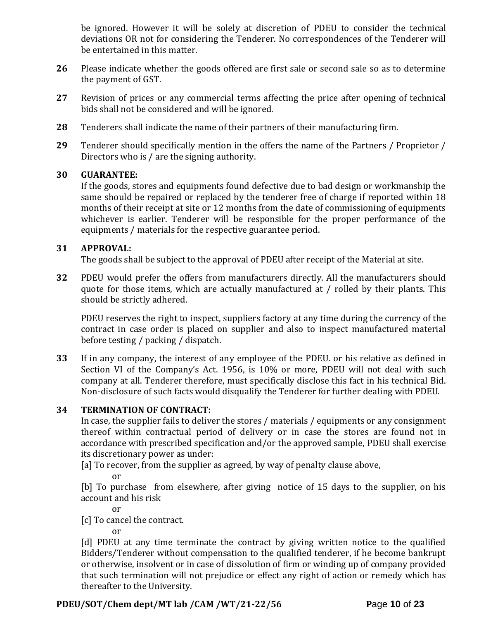be ignored. However it will be solely at discretion of PDEU to consider the technical deviations OR not for considering the Tenderer. No correspondences of the Tenderer will be entertained in this matter.

- **26** Please indicate whether the goods offered are first sale or second sale so as to determine the payment of GST.
- **27** Revision of prices or any commercial terms affecting the price after opening of technical bids shall not be considered and will be ignored.
- **28** Tenderers shall indicate the name of their partners of their manufacturing firm.
- **29** Tenderer should specifically mention in the offers the name of the Partners / Proprietor / Directors who is / are the signing authority.

#### **30 GUARANTEE:**

If the goods, stores and equipments found defective due to bad design or workmanship the same should be repaired or replaced by the tenderer free of charge if reported within 18 months of their receipt at site or 12 months from the date of commissioning of equipments whichever is earlier. Tenderer will be responsible for the proper performance of the equipments / materials for the respective guarantee period.

#### **31 APPROVAL:**

The goods shall be subject to the approval of PDEU after receipt of the Material at site.

**32** PDEU would prefer the offers from manufacturers directly. All the manufacturers should quote for those items, which are actually manufactured at / rolled by their plants. This should be strictly adhered.

PDEU reserves the right to inspect, suppliers factory at any time during the currency of the contract in case order is placed on supplier and also to inspect manufactured material before testing / packing / dispatch.

**33** If in any company, the interest of any employee of the PDEU. or his relative as defined in Section VI of the Company's Act. 1956, is 10% or more, PDEU will not deal with such company at all. Tenderer therefore, must specifically disclose this fact in his technical Bid. Non-disclosure of such facts would disqualify the Tenderer for further dealing with PDEU.

#### **34 TERMINATION OF CONTRACT:**

In case, the supplier fails to deliver the stores / materials / equipments or any consignment thereof within contractual period of delivery or in case the stores are found not in accordance with prescribed specification and/or the approved sample, PDEU shall exercise its discretionary power as under:

[a] To recover, from the supplier as agreed, by way of penalty clause above,

or

[b] To purchase from elsewhere, after giving notice of 15 days to the supplier, on his account and his risk

or

[c] To cancel the contract.

or

[d] PDEU at any time terminate the contract by giving written notice to the qualified Bidders/Tenderer without compensation to the qualified tenderer, if he become bankrupt or otherwise, insolvent or in case of dissolution of firm or winding up of company provided that such termination will not prejudice or effect any right of action or remedy which has thereafter to the University.

### **PDEU/SOT/Chem dept/MT lab /CAM /WT/21-22/56 P**age **10** of **23**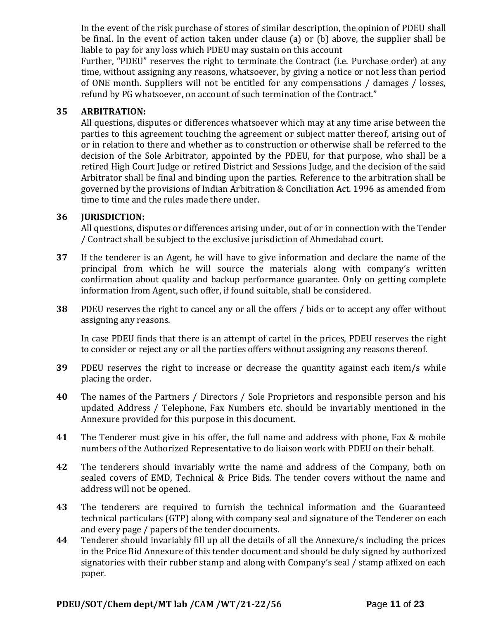In the event of the risk purchase of stores of similar description, the opinion of PDEU shall be final. In the event of action taken under clause (a) or (b) above, the supplier shall be liable to pay for any loss which PDEU may sustain on this account

Further, "PDEU" reserves the right to terminate the Contract (i.e. Purchase order) at any time, without assigning any reasons, whatsoever, by giving a notice or not less than period of ONE month. Suppliers will not be entitled for any compensations / damages / losses, refund by PG whatsoever, on account of such termination of the Contract."

### **35 ARBITRATION:**

All questions, disputes or differences whatsoever which may at any time arise between the parties to this agreement touching the agreement or subject matter thereof, arising out of or in relation to there and whether as to construction or otherwise shall be referred to the decision of the Sole Arbitrator, appointed by the PDEU, for that purpose, who shall be a retired High Court Judge or retired District and Sessions Judge, and the decision of the said Arbitrator shall be final and binding upon the parties. Reference to the arbitration shall be governed by the provisions of Indian Arbitration & Conciliation Act. 1996 as amended from time to time and the rules made there under.

### **36 JURISDICTION:**

All questions, disputes or differences arising under, out of or in connection with the Tender / Contract shall be subject to the exclusive jurisdiction of Ahmedabad court.

- **37** If the tenderer is an Agent, he will have to give information and declare the name of the principal from which he will source the materials along with company's written confirmation about quality and backup performance guarantee. Only on getting complete information from Agent, such offer, if found suitable, shall be considered.
- **38** PDEU reserves the right to cancel any or all the offers / bids or to accept any offer without assigning any reasons.

In case PDEU finds that there is an attempt of cartel in the prices, PDEU reserves the right to consider or reject any or all the parties offers without assigning any reasons thereof.

- **39** PDEU reserves the right to increase or decrease the quantity against each item/s while placing the order.
- **40** The names of the Partners / Directors / Sole Proprietors and responsible person and his updated Address / Telephone, Fax Numbers etc. should be invariably mentioned in the Annexure provided for this purpose in this document.
- **41** The Tenderer must give in his offer, the full name and address with phone, Fax & mobile numbers of the Authorized Representative to do liaison work with PDEU on their behalf.
- **42** The tenderers should invariably write the name and address of the Company, both on sealed covers of EMD, Technical & Price Bids. The tender covers without the name and address will not be opened.
- **43** The tenderers are required to furnish the technical information and the Guaranteed technical particulars (GTP) along with company seal and signature of the Tenderer on each and every page / papers of the tender documents.
- **44** Tenderer should invariably fill up all the details of all the Annexure/s including the prices in the Price Bid Annexure of this tender document and should be duly signed by authorized signatories with their rubber stamp and along with Company's seal / stamp affixed on each paper.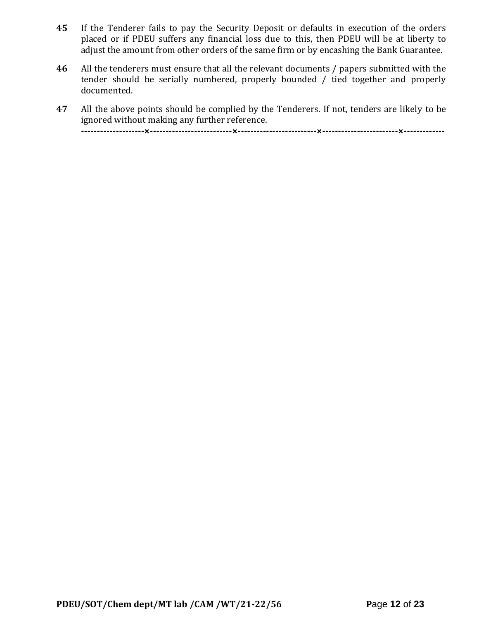- **45** If the Tenderer fails to pay the Security Deposit or defaults in execution of the orders placed or if PDEU suffers any financial loss due to this, then PDEU will be at liberty to adjust the amount from other orders of the same firm or by encashing the Bank Guarantee.
- **46** All the tenderers must ensure that all the relevant documents / papers submitted with the tender should be serially numbered, properly bounded / tied together and properly documented.
- **47** All the above points should be complied by the Tenderers. If not, tenders are likely to be ignored without making any further reference. **--------------------×--------------------------×-------------------------×------------------------×-------------**

**PDEU/SOT/Chem dept/MT lab /CAM /WT/21-22/56 P**age **12** of **23**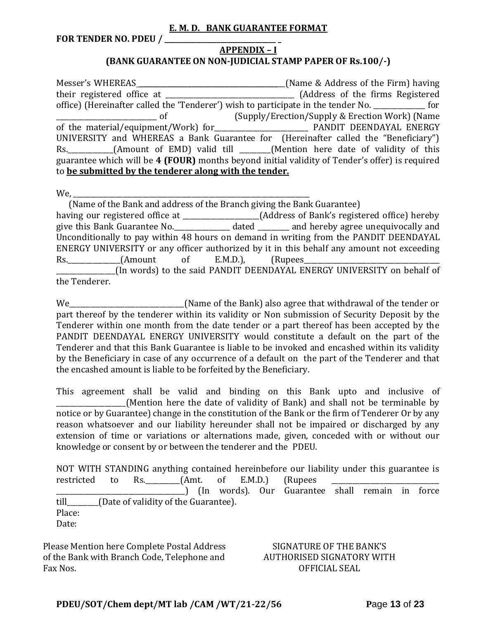#### **E. M. D. BANK GUARANTEE FORMAT**

**FOR TENDER NO. PDEU / \_\_\_\_\_\_\_\_\_\_\_\_\_\_\_\_\_\_\_\_\_\_\_\_\_\_\_\_\_\_\_\_ \_**

#### **APPENDIX – I (BANK GUARANTEE ON NON-JUDICIAL STAMP PAPER OF Rs.100/-)**

Messer's WHEREAS \_\_\_\_\_\_\_\_\_\_\_\_\_\_\_\_\_\_\_\_\_\_\_\_\_\_\_\_\_\_\_\_\_\_\_\_\_\_\_\_\_\_(Name & Address of the Firm) having their registered office at \_\_\_\_\_\_\_\_\_\_\_\_\_\_\_\_\_\_\_\_\_\_\_\_\_\_\_\_\_\_\_\_\_\_\_\_\_ (Address of the firms Registered office) (Hereinafter called the 'Tenderer') wish to participate in the tender No. \_\_\_\_\_\_\_\_\_\_\_\_\_\_\_ for \_\_\_\_\_\_\_\_\_\_\_\_\_\_\_\_\_\_\_\_\_\_\_\_\_\_\_\_\_ of (Supply/Erection/Supply & Erection Work) (Name of the material/equipment/Work) for\_\_\_\_\_\_\_\_\_\_\_\_\_\_\_\_\_\_\_\_\_\_\_\_\_\_\_ PANDIT DEENDAYAL ENERGY UNIVERSITY and WHEREAS a Bank Guarantee for (Hereinafter called the "Beneficiary") Rs. \_\_\_\_\_\_\_\_\_\_\_(Amount of EMD) valid till \_\_\_\_\_\_(Mention here date of validity of this guarantee which will be **4 (FOUR)** months beyond initial validity of Tender's offer) is required to **be submitted by the tenderer along with the tender.**

We,

 (Name of the Bank and address of the Branch giving the Bank Guarantee) having our registered office at \_\_\_\_\_\_\_\_\_\_\_\_\_\_\_\_\_\_\_\_\_\_(Address of Bank's registered office) hereby give this Bank Guarantee No.\_\_\_\_\_\_\_\_\_\_\_\_\_\_\_\_ dated \_\_\_\_\_\_\_\_\_ and hereby agree unequivocally and Unconditionally to pay within 48 hours on demand in writing from the PANDIT DEENDAYAL ENERGY UNIVERSITY or any officer authorized by it in this behalf any amount not exceeding Rs. (Amount of E.M.D.), (Rupees \_\_\_\_\_\_\_\_\_\_\_\_\_\_\_\_\_(In words) to the said PANDIT DEENDAYAL ENERGY UNIVERSITY on behalf of the Tenderer.

We\_\_\_\_\_\_\_\_\_\_\_\_\_\_\_\_\_\_\_\_\_\_\_\_\_\_\_\_\_\_\_\_\_(Name of the Bank) also agree that withdrawal of the tender or part thereof by the tenderer within its validity or Non submission of Security Deposit by the Tenderer within one month from the date tender or a part thereof has been accepted by the PANDIT DEENDAYAL ENERGY UNIVERSITY would constitute a default on the part of the Tenderer and that this Bank Guarantee is liable to be invoked and encashed within its validity by the Beneficiary in case of any occurrence of a default on the part of the Tenderer and that the encashed amount is liable to be forfeited by the Beneficiary.

This agreement shall be valid and binding on this Bank upto and inclusive of (Mention here the date of validity of Bank) and shall not be terminable by notice or by Guarantee) change in the constitution of the Bank or the firm of Tenderer Or by any reason whatsoever and our liability hereunder shall not be impaired or discharged by any extension of time or variations or alternations made, given, conceded with or without our knowledge or consent by or between the tenderer and the PDEU.

NOT WITH STANDING anything contained hereinbefore our liability under this guarantee is restricted to Rs.  $(Amt. of E.M.D.)$  (Rupees \_\_\_\_\_\_\_\_\_\_\_\_\_\_\_\_\_\_\_\_\_\_\_\_\_\_\_\_\_\_\_\_\_\_\_\_\_) (In words). Our Guarantee shall remain in force till\_\_\_\_\_\_\_\_\_(Date of validity of the Guarantee). Place: Date:

Please Mention here Complete Postal Address of the Bank with Branch Code, Telephone and Fax Nos.

#### SIGNATURE OF THE BANK'S AUTHORISED SIGNATORY WITH OFFICIAL SEAL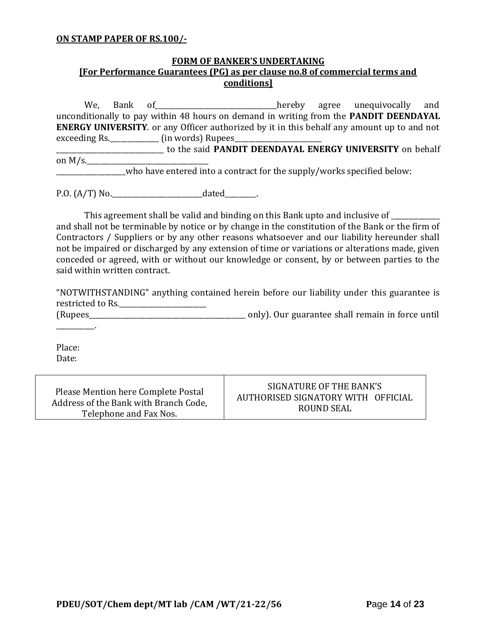#### **ON STAMP PAPER OF RS.100/-**

### **FORM OF BANKER'S UNDERTAKING [For Performance Guarantees (PG) as per clause no.8 of commercial terms and conditions]**

We, Bank of\_\_\_\_\_\_\_\_\_\_\_\_\_\_\_\_\_\_\_\_\_\_\_\_\_\_\_\_\_\_\_\_\_\_\_hereby agree unequivocally and unconditionally to pay within 48 hours on demand in writing from the **PANDIT DEENDAYAL ENERGY UNIVERSITY**. or any Officer authorized by it in this behalf any amount up to and not exceeding Rs. \_\_\_\_\_\_\_\_\_\_\_\_\_\_\_ (in words) Rupees\_\_\_ \_\_\_\_\_\_\_\_\_\_\_\_\_\_\_\_\_\_\_\_\_\_\_\_\_\_\_\_\_\_\_ to the said **PANDIT DEENDAYAL ENERGY UNIVERSITY** on behalf on  $M/s$ . \_\_\_\_\_\_\_\_\_\_\_\_\_\_\_\_\_\_\_\_who have entered into a contract for the supply/works specified below:

P.O. (A/T) No.\_\_\_\_\_\_\_\_\_\_\_\_\_\_\_\_\_\_\_\_\_\_\_\_\_\_dated\_\_\_\_\_\_\_\_\_.

This agreement shall be valid and binding on this Bank upto and inclusive of \_\_\_\_\_\_\_\_\_\_ and shall not be terminable by notice or by change in the constitution of the Bank or the firm of Contractors / Suppliers or by any other reasons whatsoever and our liability hereunder shall not be impaired or discharged by any extension of time or variations or alterations made, given conceded or agreed, with or without our knowledge or consent, by or between parties to the said within written contract.

"NOTWITHSTANDING" anything contained herein before our liability under this guarantee is restricted to Rs.\_\_\_\_\_\_\_\_\_\_\_\_\_\_\_\_\_\_\_\_\_\_\_\_\_

(Rupees\_\_\_\_\_\_\_\_\_\_\_\_\_\_\_\_\_\_\_\_\_\_\_\_\_\_\_\_\_\_\_\_\_\_\_\_\_\_\_\_\_\_\_\_\_ only). Our guarantee shall remain in force until

Place: Date:

 $\mathcal{L}=\mathcal{L}^{\mathcal{L}}$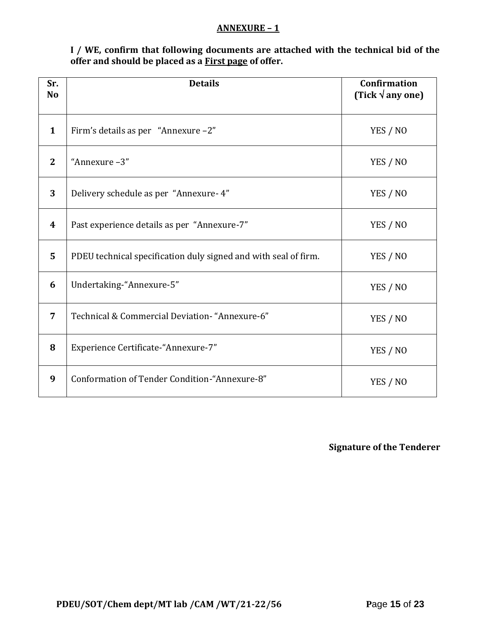#### **ANNEXURE – 1**

**I / WE, confirm that following documents are attached with the technical bid of the offer and should be placed as a First page of offer.**

| Sr.<br>N <sub>o</sub> | <b>Details</b>                                                  | <b>Confirmation</b><br>(Tick $\sqrt{$ any one) |
|-----------------------|-----------------------------------------------------------------|------------------------------------------------|
| $\mathbf{1}$          | Firm's details as per "Annexure -2"                             | YES / NO                                       |
| $\mathbf{2}$          | "Annexure-3"                                                    | YES / NO                                       |
| 3                     | Delivery schedule as per "Annexure- 4"                          | YES / NO                                       |
| $\boldsymbol{4}$      | Past experience details as per "Annexure-7"                     | YES / NO                                       |
| 5                     | PDEU technical specification duly signed and with seal of firm. | YES / NO                                       |
| 6                     | Undertaking-"Annexure-5"                                        | YES / NO                                       |
| $\overline{7}$        | Technical & Commercial Deviation- "Annexure-6"                  | YES / NO                                       |
| 8                     | Experience Certificate-"Annexure-7"                             | YES / NO                                       |
| 9                     | Conformation of Tender Condition-"Annexure-8"                   | YES / NO                                       |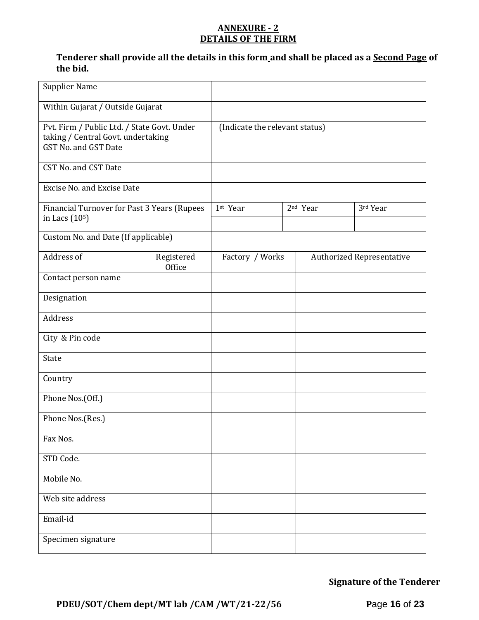#### **ANNEXURE - 2 DETAILS OF THE FIRM**

### **Tenderer shall provide all the details in this form and shall be placed as a Second Page of the bid.**

| <b>Supplier Name</b>                                                                                      |                      |                                |                      |                                  |
|-----------------------------------------------------------------------------------------------------------|----------------------|--------------------------------|----------------------|----------------------------------|
| Within Gujarat / Outside Gujarat                                                                          |                      |                                |                      |                                  |
| Pvt. Firm / Public Ltd. / State Govt. Under<br>taking / Central Govt. undertaking<br>GST No. and GST Date |                      | (Indicate the relevant status) |                      |                                  |
| CST No. and CST Date                                                                                      |                      |                                |                      |                                  |
| <b>Excise No. and Excise Date</b>                                                                         |                      |                                |                      |                                  |
| Financial Turnover for Past 3 Years (Rupees<br>in Lacs (10 <sup>5</sup> )                                 |                      | 1st Year                       | 2 <sup>nd</sup> Year | 3rd Year                         |
| Custom No. and Date (If applicable)                                                                       |                      |                                |                      |                                  |
| Address of                                                                                                | Registered<br>Office | Factory / Works                |                      | <b>Authorized Representative</b> |
| Contact person name                                                                                       |                      |                                |                      |                                  |
| Designation                                                                                               |                      |                                |                      |                                  |
| Address                                                                                                   |                      |                                |                      |                                  |
| City & Pin code                                                                                           |                      |                                |                      |                                  |
| State                                                                                                     |                      |                                |                      |                                  |
| Country                                                                                                   |                      |                                |                      |                                  |
| Phone Nos.(Off.)                                                                                          |                      |                                |                      |                                  |
| Phone Nos.(Res.)                                                                                          |                      |                                |                      |                                  |
| Fax Nos.                                                                                                  |                      |                                |                      |                                  |
| STD Code.                                                                                                 |                      |                                |                      |                                  |
| Mobile No.                                                                                                |                      |                                |                      |                                  |
| Web site address                                                                                          |                      |                                |                      |                                  |
| Email-id                                                                                                  |                      |                                |                      |                                  |
| Specimen signature                                                                                        |                      |                                |                      |                                  |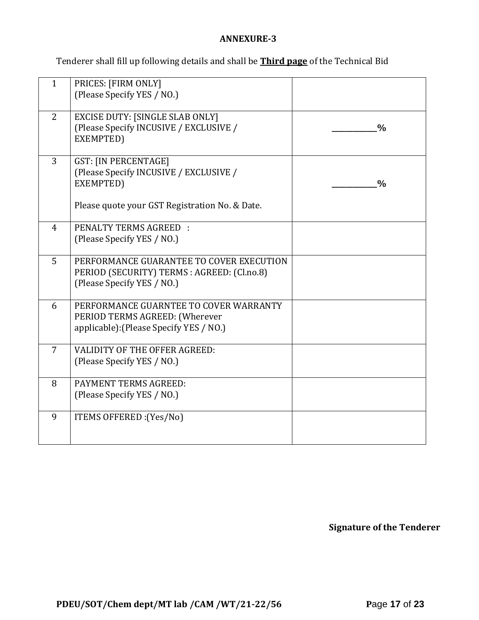### **ANNEXURE-3**

Tenderer shall fill up following details and shall be **Third page** of the Technical Bid

| $\mathbf{1}$   | PRICES: [FIRM ONLY]<br>(Please Specify YES / NO.)                                                                                    |               |
|----------------|--------------------------------------------------------------------------------------------------------------------------------------|---------------|
| 2              | <b>EXCISE DUTY: [SINGLE SLAB ONLY]</b><br>(Please Specify INCUSIVE / EXCLUSIVE /<br>EXEMPTED)                                        | $\frac{0}{0}$ |
| 3              | <b>GST: [IN PERCENTAGE]</b><br>(Please Specify INCUSIVE / EXCLUSIVE /<br>EXEMPTED)<br>Please quote your GST Registration No. & Date. | $\frac{0}{0}$ |
| $\overline{4}$ | <b>PENALTY TERMS AGREED:</b><br>(Please Specify YES / NO.)                                                                           |               |
| 5              | PERFORMANCE GUARANTEE TO COVER EXECUTION<br>PERIOD (SECURITY) TERMS : AGREED: (Cl.no.8)<br>(Please Specify YES / NO.)                |               |
| 6              | PERFORMANCE GUARNTEE TO COVER WARRANTY<br>PERIOD TERMS AGREED: (Wherever<br>applicable): (Please Specify YES / NO.)                  |               |
| 7              | VALIDITY OF THE OFFER AGREED:<br>(Please Specify YES / NO.)                                                                          |               |
| 8              | PAYMENT TERMS AGREED:<br>(Please Specify YES / NO.)                                                                                  |               |
| 9              | ITEMS OFFERED : (Yes/No)                                                                                                             |               |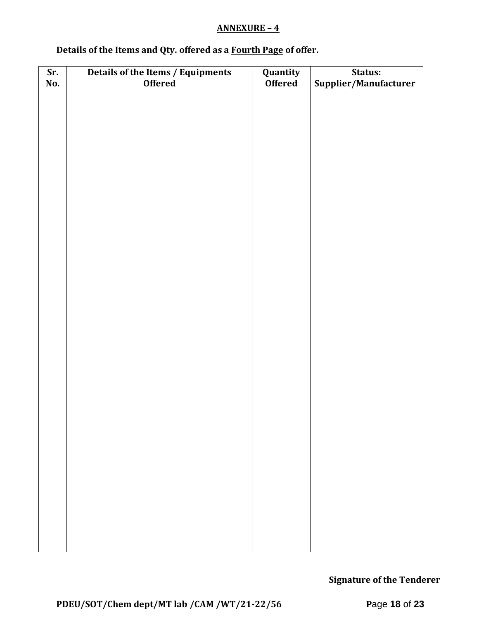### **ANNEXURE – 4**

# **Details of the Items and Qty. offered as a Fourth Page of offer.**

| Sr. | Details of the Items / Equipments | Quantity       | Status:               |  |  |  |
|-----|-----------------------------------|----------------|-----------------------|--|--|--|
| No. | <b>Offered</b>                    | <b>Offered</b> | Supplier/Manufacturer |  |  |  |
|     |                                   |                |                       |  |  |  |
|     |                                   |                |                       |  |  |  |
|     |                                   |                |                       |  |  |  |
|     |                                   |                |                       |  |  |  |
|     |                                   |                |                       |  |  |  |
|     |                                   |                |                       |  |  |  |
|     |                                   |                |                       |  |  |  |
|     |                                   |                |                       |  |  |  |
|     |                                   |                |                       |  |  |  |
|     |                                   |                |                       |  |  |  |
|     |                                   |                |                       |  |  |  |
|     |                                   |                |                       |  |  |  |
|     |                                   |                |                       |  |  |  |
|     |                                   |                |                       |  |  |  |
|     |                                   |                |                       |  |  |  |
|     |                                   |                |                       |  |  |  |
|     |                                   |                |                       |  |  |  |
|     |                                   |                |                       |  |  |  |
|     |                                   |                |                       |  |  |  |
|     |                                   |                |                       |  |  |  |
|     |                                   |                |                       |  |  |  |
|     |                                   |                |                       |  |  |  |
|     |                                   |                |                       |  |  |  |
|     |                                   |                |                       |  |  |  |
|     |                                   |                |                       |  |  |  |
|     |                                   |                |                       |  |  |  |
|     |                                   |                |                       |  |  |  |
|     |                                   |                |                       |  |  |  |
|     |                                   |                |                       |  |  |  |
|     |                                   |                |                       |  |  |  |
|     |                                   |                |                       |  |  |  |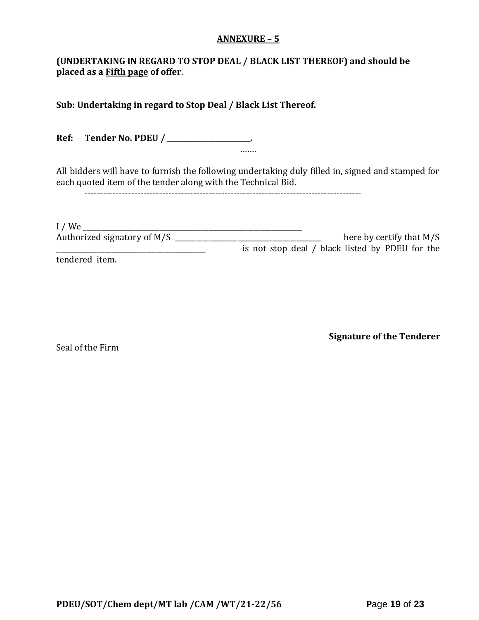#### **ANNEXURE – 5**

### **(UNDERTAKING IN REGARD TO STOP DEAL / BLACK LIST THEREOF) and should be placed as a Fifth page of offer**.

**Sub: Undertaking in regard to Stop Deal / Black List Thereof.**

**Ref: Tender No. PDEU / \_\_\_\_\_\_\_\_\_\_\_\_\_\_\_\_\_\_\_\_\_\_\_\_.** …….

All bidders will have to furnish the following undertaking duly filled in, signed and stamped for each quoted item of the tender along with the Technical Bid.

-----------------------------------------------------------------------------------------

| $I$ / We                    |                                                 |
|-----------------------------|-------------------------------------------------|
| Authorized signatory of M/S | here by certify that $M/S$                      |
|                             | is not stop deal / black listed by PDEU for the |
| tendered item.              |                                                 |

Seal of the Firm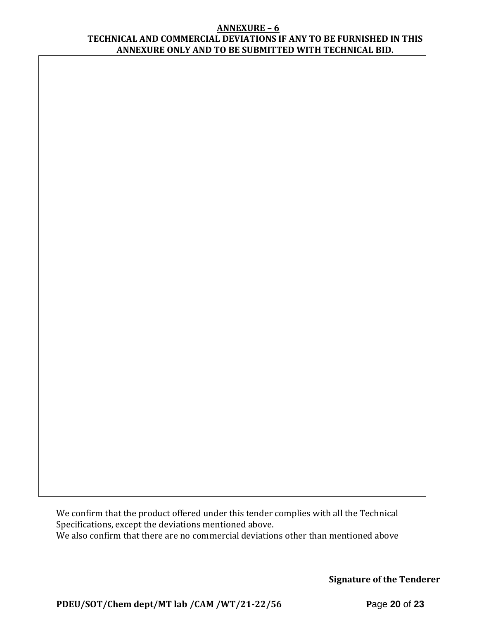#### **ANNEXURE – 6 TECHNICAL AND COMMERCIAL DEVIATIONS IF ANY TO BE FURNISHED IN THIS ANNEXURE ONLY AND TO BE SUBMITTED WITH TECHNICAL BID.**

We confirm that the product offered under this tender complies with all the Technical Specifications, except the deviations mentioned above. We also confirm that there are no commercial deviations other than mentioned above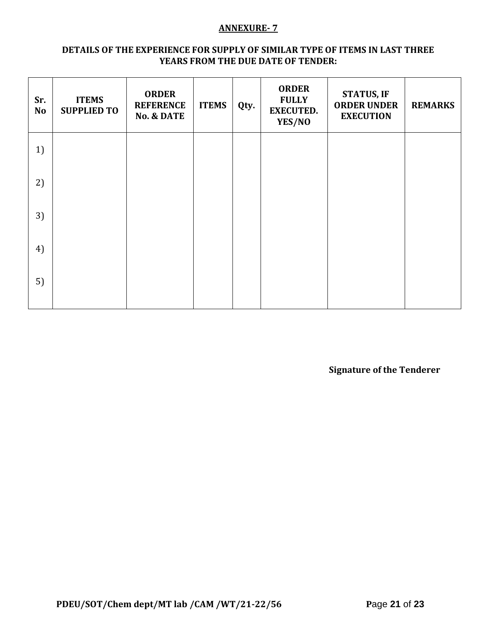#### **ANNEXURE- 7**

#### **DETAILS OF THE EXPERIENCE FOR SUPPLY OF SIMILAR TYPE OF ITEMS IN LAST THREE YEARS FROM THE DUE DATE OF TENDER:**

| Sr.<br><b>No</b> | <b>ITEMS</b><br><b>SUPPLIED TO</b> | <b>ORDER</b><br><b>REFERENCE</b><br><b>No. &amp; DATE</b> | <b>ITEMS</b> | Qty. | <b>ORDER</b><br><b>FULLY</b><br><b>EXECUTED.</b><br>YES/NO | <b>STATUS, IF</b><br><b>ORDER UNDER</b><br><b>EXECUTION</b> | <b>REMARKS</b> |
|------------------|------------------------------------|-----------------------------------------------------------|--------------|------|------------------------------------------------------------|-------------------------------------------------------------|----------------|
| 1)               |                                    |                                                           |              |      |                                                            |                                                             |                |
| 2)               |                                    |                                                           |              |      |                                                            |                                                             |                |
| 3)               |                                    |                                                           |              |      |                                                            |                                                             |                |
| 4)               |                                    |                                                           |              |      |                                                            |                                                             |                |
| 5)               |                                    |                                                           |              |      |                                                            |                                                             |                |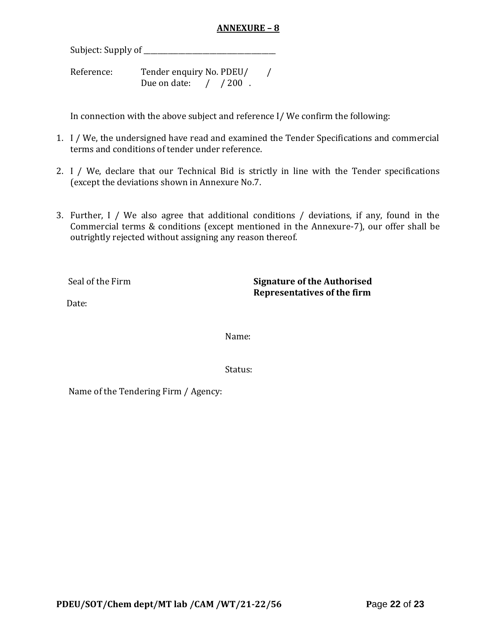### **ANNEXURE – 8**

Subject: Supply of \_\_\_\_\_\_\_\_\_\_\_\_\_\_\_\_\_\_\_\_\_\_\_\_\_\_\_\_\_\_\_\_\_\_\_\_\_\_

Reference: Tender enquiry No. PDEU/ / Due on date: / / 200.

In connection with the above subject and reference I/ We confirm the following:

- 1. I / We, the undersigned have read and examined the Tender Specifications and commercial terms and conditions of tender under reference.
- 2. I / We, declare that our Technical Bid is strictly in line with the Tender specifications (except the deviations shown in Annexure No.7.
- 3. Further, I / We also agree that additional conditions / deviations, if any, found in the Commercial terms & conditions (except mentioned in the Annexure-7), our offer shall be outrightly rejected without assigning any reason thereof.

Seal of the Firm **Signature of the Authorised Representatives of the firm**

Date:

Name:

Status:

Name of the Tendering Firm / Agency: